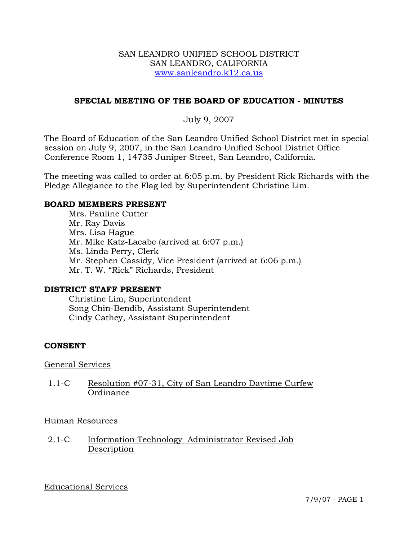#### SAN LEANDRO UNIFIED SCHOOL DISTRICT SAN LEANDRO, CALIFORNIA www.sanleandro.k12.ca.us

## **SPECIAL MEETING OF THE BOARD OF EDUCATION - MINUTES**

## July 9, 2007

The Board of Education of the San Leandro Unified School District met in special session on July 9, 2007, in the San Leandro Unified School District Office Conference Room 1, 14735 Juniper Street, San Leandro, California.

The meeting was called to order at 6:05 p.m. by President Rick Richards with the Pledge Allegiance to the Flag led by Superintendent Christine Lim.

#### **BOARD MEMBERS PRESENT**

Mrs. Pauline Cutter Mr. Ray Davis Mrs. Lisa Hague Mr. Mike Katz-Lacabe (arrived at 6:07 p.m.) Ms. Linda Perry, Clerk Mr. Stephen Cassidy, Vice President (arrived at 6:06 p.m.) Mr. T. W. "Rick" Richards, President

#### **DISTRICT STAFF PRESENT**

Christine Lim, Superintendent Song Chin-Bendib, Assistant Superintendent Cindy Cathey, Assistant Superintendent

### **CONSENT**

#### General Services

1.1-C Resolution #07-31, City of San Leandro Daytime Curfew **Ordinance** 

#### Human Resources

2.1-C Information Technology Administrator Revised Job Description

### Educational Services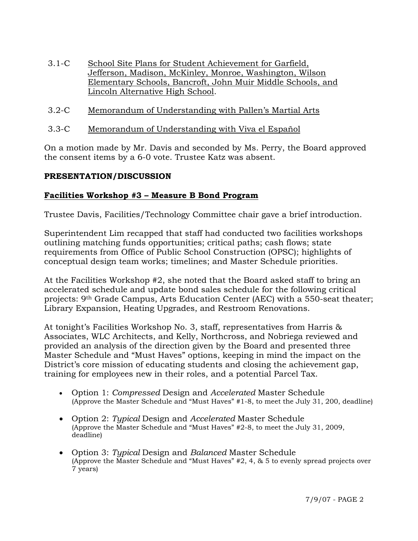- 3.1-C School Site Plans for Student Achievement for Garfield, Jefferson, Madison, McKinley, Monroe, Washington, Wilson Elementary Schools, Bancroft, John Muir Middle Schools, and Lincoln Alternative High School.
- 3.2-C Memorandum of Understanding with Pallen's Martial Arts
- 3.3-C Memorandum of Understanding with Viva el Español

On a motion made by Mr. Davis and seconded by Ms. Perry, the Board approved the consent items by a 6-0 vote. Trustee Katz was absent.

### **PRESENTATION/DISCUSSION**

# **Facilities Workshop #3 – Measure B Bond Program**

Trustee Davis, Facilities/Technology Committee chair gave a brief introduction.

Superintendent Lim recapped that staff had conducted two facilities workshops outlining matching funds opportunities; critical paths; cash flows; state requirements from Office of Public School Construction (OPSC); highlights of conceptual design team works; timelines; and Master Schedule priorities.

At the Facilities Workshop #2, she noted that the Board asked staff to bring an accelerated schedule and update bond sales schedule for the following critical projects: 9th Grade Campus, Arts Education Center (AEC) with a 550-seat theater; Library Expansion, Heating Upgrades, and Restroom Renovations.

At tonight's Facilities Workshop No. 3, staff, representatives from Harris & Associates, WLC Architects, and Kelly, Northcross, and Nobriega reviewed and provided an analysis of the direction given by the Board and presented three Master Schedule and "Must Haves" options, keeping in mind the impact on the District's core mission of educating students and closing the achievement gap, training for employees new in their roles, and a potential Parcel Tax.

- Option 1: *Compressed* Design and *Accelerated* Master Schedule (Approve the Master Schedule and "Must Haves" #1-8, to meet the July 31, 200, deadline)
- Option 2: *Typical* Design and *Accelerated* Master Schedule (Approve the Master Schedule and "Must Haves" #2-8, to meet the July 31, 2009, deadline)
- Option 3: *Typical* Design and *Balanced* Master Schedule (Approve the Master Schedule and "Must Haves" #2, 4, & 5 to evenly spread projects over 7 years)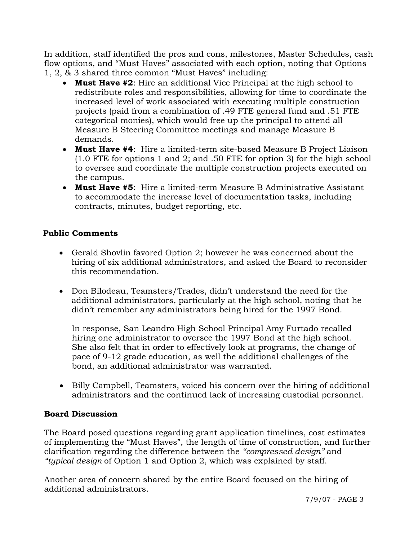In addition, staff identified the pros and cons, milestones, Master Schedules, cash flow options, and "Must Haves" associated with each option, noting that Options 1, 2, & 3 shared three common "Must Haves" including:

- **Must Have #2**: Hire an additional Vice Principal at the high school to redistribute roles and responsibilities, allowing for time to coordinate the increased level of work associated with executing multiple construction projects (paid from a combination of .49 FTE general fund and .51 FTE categorical monies), which would free up the principal to attend all Measure B Steering Committee meetings and manage Measure B demands.
- **Must Have #4**: Hire a limited-term site-based Measure B Project Liaison (1.0 FTE for options 1 and 2; and .50 FTE for option 3) for the high school to oversee and coordinate the multiple construction projects executed on the campus.
- **Must Have #5**: Hire a limited-term Measure B Administrative Assistant to accommodate the increase level of documentation tasks, including contracts, minutes, budget reporting, etc.

# **Public Comments**

- Gerald Shovlin favored Option 2; however he was concerned about the hiring of six additional administrators, and asked the Board to reconsider this recommendation.
- Don Bilodeau, Teamsters/Trades, didn't understand the need for the additional administrators, particularly at the high school, noting that he didn't remember any administrators being hired for the 1997 Bond.

 In response, San Leandro High School Principal Amy Furtado recalled hiring one administrator to oversee the 1997 Bond at the high school. She also felt that in order to effectively look at programs, the change of pace of 9-12 grade education, as well the additional challenges of the bond, an additional administrator was warranted.

• Billy Campbell, Teamsters, voiced his concern over the hiring of additional administrators and the continued lack of increasing custodial personnel.

### **Board Discussion**

The Board posed questions regarding grant application timelines, cost estimates of implementing the "Must Haves", the length of time of construction, and further clarification regarding the difference between the *"compressed design"* and *"typical design* of Option 1 and Option 2, which was explained by staff.

Another area of concern shared by the entire Board focused on the hiring of additional administrators.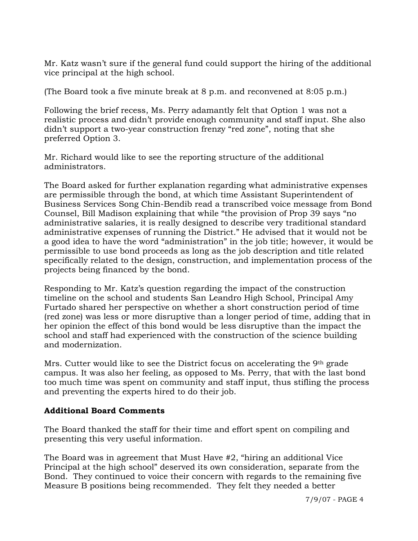Mr. Katz wasn't sure if the general fund could support the hiring of the additional vice principal at the high school.

(The Board took a five minute break at 8 p.m. and reconvened at 8:05 p.m.)

Following the brief recess, Ms. Perry adamantly felt that Option 1 was not a realistic process and didn't provide enough community and staff input. She also didn't support a two-year construction frenzy "red zone", noting that she preferred Option 3.

Mr. Richard would like to see the reporting structure of the additional administrators.

The Board asked for further explanation regarding what administrative expenses are permissible through the bond, at which time Assistant Superintendent of Business Services Song Chin-Bendib read a transcribed voice message from Bond Counsel, Bill Madison explaining that while "the provision of Prop 39 says "no administrative salaries, it is really designed to describe very traditional standard administrative expenses of running the District." He advised that it would not be a good idea to have the word "administration" in the job title; however, it would be permissible to use bond proceeds as long as the job description and title related specifically related to the design, construction, and implementation process of the projects being financed by the bond.

Responding to Mr. Katz's question regarding the impact of the construction timeline on the school and students San Leandro High School, Principal Amy Furtado shared her perspective on whether a short construction period of time (red zone) was less or more disruptive than a longer period of time, adding that in her opinion the effect of this bond would be less disruptive than the impact the school and staff had experienced with the construction of the science building and modernization.

Mrs. Cutter would like to see the District focus on accelerating the 9th grade campus. It was also her feeling, as opposed to Ms. Perry, that with the last bond too much time was spent on community and staff input, thus stifling the process and preventing the experts hired to do their job.

# **Additional Board Comments**

The Board thanked the staff for their time and effort spent on compiling and presenting this very useful information.

The Board was in agreement that Must Have #2, "hiring an additional Vice Principal at the high school" deserved its own consideration, separate from the Bond. They continued to voice their concern with regards to the remaining five Measure B positions being recommended. They felt they needed a better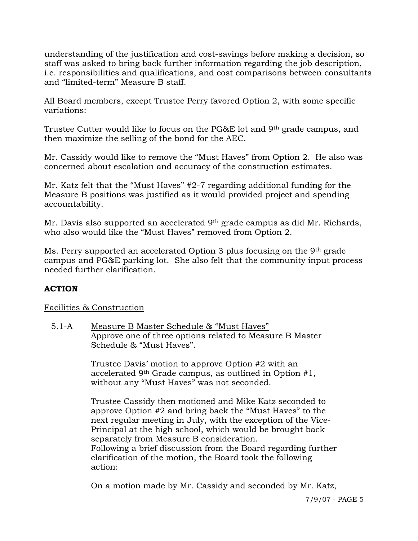understanding of the justification and cost-savings before making a decision, so staff was asked to bring back further information regarding the job description, i.e. responsibilities and qualifications, and cost comparisons between consultants and "limited-term" Measure B staff.

All Board members, except Trustee Perry favored Option 2, with some specific variations:

Trustee Cutter would like to focus on the PG&E lot and 9th grade campus, and then maximize the selling of the bond for the AEC.

Mr. Cassidy would like to remove the "Must Haves" from Option 2. He also was concerned about escalation and accuracy of the construction estimates.

Mr. Katz felt that the "Must Haves" #2-7 regarding additional funding for the Measure B positions was justified as it would provided project and spending accountability.

Mr. Davis also supported an accelerated 9th grade campus as did Mr. Richards, who also would like the "Must Haves" removed from Option 2.

Ms. Perry supported an accelerated Option 3 plus focusing on the 9th grade campus and PG&E parking lot. She also felt that the community input process needed further clarification.

# **ACTION**

Facilities & Construction

5.1-A Measure B Master Schedule & "Must Haves" Approve one of three options related to Measure B Master Schedule & "Must Haves".

> Trustee Davis' motion to approve Option #2 with an accelerated 9th Grade campus, as outlined in Option #1, without any "Must Haves" was not seconded.

Trustee Cassidy then motioned and Mike Katz seconded to approve Option #2 and bring back the "Must Haves" to the next regular meeting in July, with the exception of the Vice-Principal at the high school, which would be brought back separately from Measure B consideration. Following a brief discussion from the Board regarding further clarification of the motion, the Board took the following action:

On a motion made by Mr. Cassidy and seconded by Mr. Katz,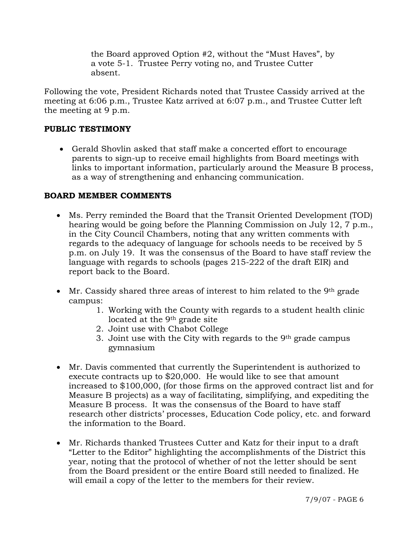the Board approved Option #2, without the "Must Haves", by a vote 5-1. Trustee Perry voting no, and Trustee Cutter absent.

Following the vote, President Richards noted that Trustee Cassidy arrived at the meeting at 6:06 p.m., Trustee Katz arrived at 6:07 p.m., and Trustee Cutter left the meeting at 9 p.m.

## **PUBLIC TESTIMONY**

• Gerald Shovlin asked that staff make a concerted effort to encourage parents to sign-up to receive email highlights from Board meetings with links to important information, particularly around the Measure B process, as a way of strengthening and enhancing communication.

### **BOARD MEMBER COMMENTS**

- Ms. Perry reminded the Board that the Transit Oriented Development (TOD) hearing would be going before the Planning Commission on July 12, 7 p.m., in the City Council Chambers, noting that any written comments with regards to the adequacy of language for schools needs to be received by 5 p.m. on July 19. It was the consensus of the Board to have staff review the language with regards to schools (pages 215-222 of the draft EIR) and report back to the Board.
- Mr. Cassidy shared three areas of interest to him related to the 9<sup>th</sup> grade campus:
	- 1. Working with the County with regards to a student health clinic located at the 9<sup>th</sup> grade site
	- 2. Joint use with Chabot College
	- 3. Joint use with the City with regards to the 9th grade campus gymnasium
- Mr. Davis commented that currently the Superintendent is authorized to execute contracts up to \$20,000. He would like to see that amount increased to \$100,000, (for those firms on the approved contract list and for Measure B projects) as a way of facilitating, simplifying, and expediting the Measure B process. It was the consensus of the Board to have staff research other districts' processes, Education Code policy, etc. and forward the information to the Board.
- Mr. Richards thanked Trustees Cutter and Katz for their input to a draft "Letter to the Editor" highlighting the accomplishments of the District this year, noting that the protocol of whether of not the letter should be sent from the Board president or the entire Board still needed to finalized. He will email a copy of the letter to the members for their review.